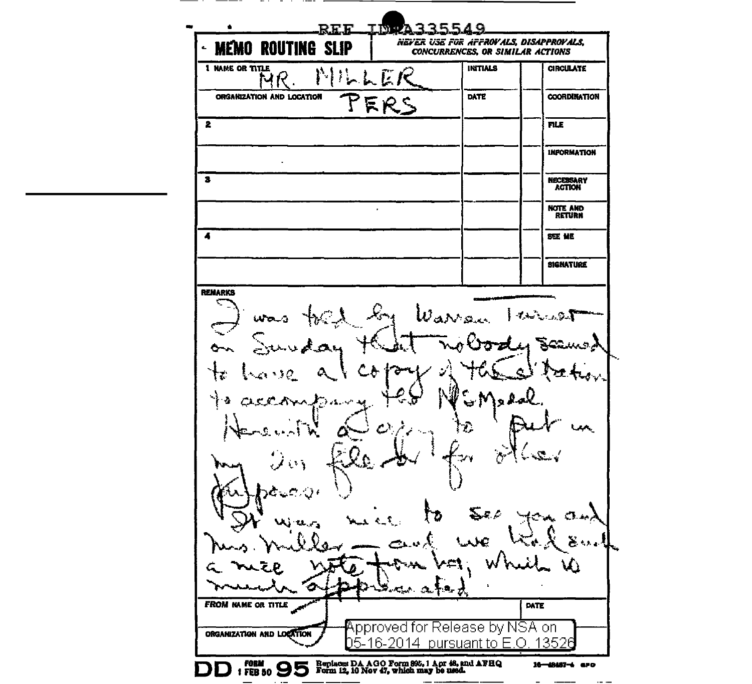<u>IN A335549</u> RFF NEVER USE FOR AFFROVALS, DISAPPROVALS, **MEMO ROUTING SLIP** Ł. **CONCURRENCES, OR SIMILAR ACTIONS 1 NAME OR TITLE INITIALS CIRCULATE** MK DATE **COORDINATION** ORGANIZATION AND LOCATION ER.  $\overline{\mathbf{z}}$ **FILE INFORMATION**  $\overline{\mathbf{3}}$ NECESSARY<br>ACTION NOTE AND<br>RETURN  $\cdot$  $\overline{\mathbf{A}}$ **SEE ME SIGNATURE REMARKS**  $\omega_{\rm av}$ تعليون نہ دیک  $\mathcal{L}_{\mathcal{A}}$  ,  $\mathcal{L}_{\mathcal{A}}$ **FROM NAME OR TITLE** DATE Approved for Release by NSA on ORGANIZATION AND LOCATION 05-16-2014 pursuant to E.O. 13526 FORM 1 FEB 50 9 5 Form 12, 10 Nov 47, which may be used. 16-48487-4 aPO  $\Box$